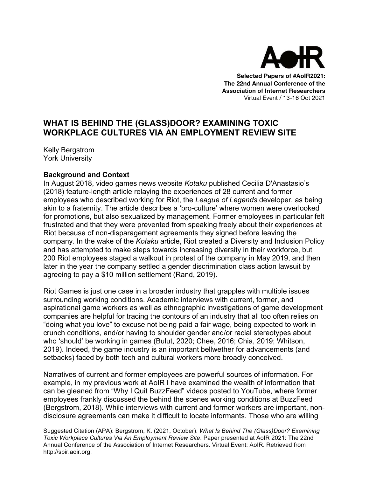

**Selected Papers of #AoIR2021: The 22nd Annual Conference of the Association of Internet Researchers** Virtual Event / 13-16 Oct 2021

## **WHAT IS BEHIND THE (GLASS)DOOR? EXAMINING TOXIC WORKPLACE CULTURES VIA AN EMPLOYMENT REVIEW SITE**

Kelly Bergstrom York University

## **Background and Context**

In August 2018, video games news website *Kotaku* published Cecilia D'Anastasio's (2018) feature-length article relaying the experiences of 28 current and former employees who described working for Riot, the *League of Legends* developer, as being akin to a fraternity. The article describes a 'bro-culture' where women were overlooked for promotions, but also sexualized by management. Former employees in particular felt frustrated and that they were prevented from speaking freely about their experiences at Riot because of non-disparagement agreements they signed before leaving the company. In the wake of the *Kotaku* article, Riot created a Diversity and Inclusion Policy and has attempted to make steps towards increasing diversity in their workforce, but 200 Riot employees staged a walkout in protest of the company in May 2019, and then later in the year the company settled a gender discrimination class action lawsuit by agreeing to pay a \$10 million settlement (Rand, 2019).

Riot Games is just one case in a broader industry that grapples with multiple issues surrounding working conditions. Academic interviews with current, former, and aspirational game workers as well as ethnographic investigations of game development companies are helpful for tracing the contours of an industry that all too often relies on "doing what you love" to excuse not being paid a fair wage, being expected to work in crunch conditions, and/or having to shoulder gender and/or racial stereotypes about who 'should' be working in games (Bulut, 2020; Chee, 2016; Chia, 2019; Whitson, 2019). Indeed, the game industry is an important bellwether for advancements (and setbacks) faced by both tech and cultural workers more broadly conceived.

Narratives of current and former employees are powerful sources of information. For example, in my previous work at AoIR I have examined the wealth of information that can be gleaned from "Why I Quit BuzzFeed" videos posted to YouTube, where former employees frankly discussed the behind the scenes working conditions at BuzzFeed (Bergstrom, 2018). While interviews with current and former workers are important, nondisclosure agreements can make it difficult to locate informants. Those who are willing

Suggested Citation (APA): Bergstrom, K. (2021, October). *What Is Behind The (Glass)Door? Examining Toxic Workplace Cultures Via An Employment Review Site*. Paper presented at AoIR 2021: The 22nd Annual Conference of the Association of Internet Researchers. Virtual Event: AoIR. Retrieved from http://spir.aoir.org.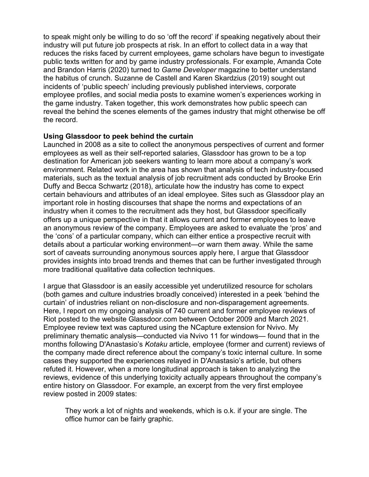to speak might only be willing to do so 'off the record' if speaking negatively about their industry will put future job prospects at risk. In an effort to collect data in a way that reduces the risks faced by current employees, game scholars have begun to investigate public texts written for and by game industry professionals. For example, Amanda Cote and Brandon Harris (2020) turned to *Game Developer* magazine to better understand the habitus of crunch. Suzanne de Castell and Karen Skardzius (2019) sought out incidents of 'public speech' including previously published interviews, corporate employee profiles, and social media posts to examine women's experiences working in the game industry. Taken together, this work demonstrates how public speech can reveal the behind the scenes elements of the games industry that might otherwise be off the record.

## **Using Glassdoor to peek behind the curtain**

Launched in 2008 as a site to collect the anonymous perspectives of current and former employees as well as their self-reported salaries, Glassdoor has grown to be a top destination for American job seekers wanting to learn more about a company's work environment. Related work in the area has shown that analysis of tech industry-focused materials, such as the textual analysis of job recruitment ads conducted by Brooke Erin Duffy and Becca Schwartz (2018), articulate how the industry has come to expect certain behaviours and attributes of an ideal employee. Sites such as Glassdoor play an important role in hosting discourses that shape the norms and expectations of an industry when it comes to the recruitment ads they host, but Glassdoor specifically offers up a unique perspective in that it allows current and former employees to leave an anonymous review of the company. Employees are asked to evaluate the 'pros' and the 'cons' of a particular company, which can either entice a prospective recruit with details about a particular working environment—or warn them away. While the same sort of caveats surrounding anonymous sources apply here, I argue that Glassdoor provides insights into broad trends and themes that can be further investigated through more traditional qualitative data collection techniques.

I argue that Glassdoor is an easily accessible yet underutilized resource for scholars (both games and culture industries broadly conceived) interested in a peek 'behind the curtain' of industries reliant on non-disclosure and non-disparagement agreements. Here, I report on my ongoing analysis of 740 current and former employee reviews of Riot posted to the website Glassdoor.com between October 2009 and March 2021. Employee review text was captured using the NCapture extension for Nvivo. My preliminary thematic analysis—conducted via Nvivo 11 for windows— found that in the months following D'Anastasio's *Kotaku* article, employee (former and current) reviews of the company made direct reference about the company's toxic internal culture. In some cases they supported the experiences relayed in D'Anastasio's article, but others refuted it. However, when a more longitudinal approach is taken to analyzing the reviews, evidence of this underlying toxicity actually appears throughout the company's entire history on Glassdoor. For example, an excerpt from the very first employee review posted in 2009 states:

They work a lot of nights and weekends, which is o.k. if your are single. The office humor can be fairly graphic.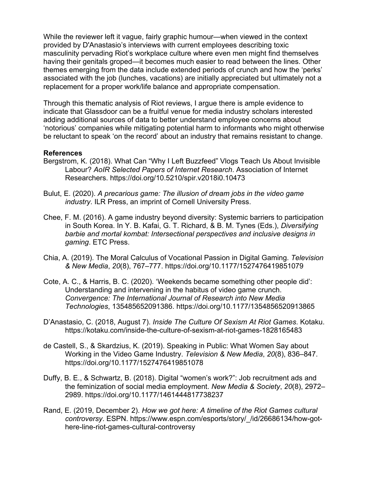While the reviewer left it vague, fairly graphic humour—when viewed in the context provided by D'Anastasio's interviews with current employees describing toxic masculinity pervading Riot's workplace culture where even men might find themselves having their genitals groped—it becomes much easier to read between the lines. Other themes emerging from the data include extended periods of crunch and how the 'perks' associated with the job (lunches, vacations) are initially appreciated but ultimately not a replacement for a proper work/life balance and appropriate compensation.

Through this thematic analysis of Riot reviews, I argue there is ample evidence to indicate that Glassdoor can be a fruitful venue for media industry scholars interested adding additional sources of data to better understand employee concerns about 'notorious' companies while mitigating potential harm to informants who might otherwise be reluctant to speak 'on the record' about an industry that remains resistant to change.

## **References**

- Bergstrom, K. (2018). What Can "Why I Left Buzzfeed" Vlogs Teach Us About Invisible Labour? *AoIR Selected Papers of Internet Research*. Association of Internet Researchers. https://doi.org/10.5210/spir.v2018i0.10473
- Bulut, E. (2020). *A precarious game: The illusion of dream jobs in the video game industry*. ILR Press, an imprint of Cornell University Press.
- Chee, F. M. (2016). A game industry beyond diversity: Systemic barriers to participation in South Korea. In Y. B. Kafai, G. T. Richard, & B. M. Tynes (Eds.), *Diversifying barbie and mortal kombat: Intersectional perspectives and inclusive designs in gaming*. ETC Press.
- Chia, A. (2019). The Moral Calculus of Vocational Passion in Digital Gaming. *Television & New Media*, *20*(8), 767–777. https://doi.org/10.1177/1527476419851079
- Cote, A. C., & Harris, B. C. (2020). 'Weekends became something other people did': Understanding and intervening in the habitus of video game crunch. *Convergence: The International Journal of Research into New Media Technologies*, 135485652091386. https://doi.org/10.1177/1354856520913865
- D'Anastasio, C. (2018, August 7). *Inside The Culture Of Sexism At Riot Games*. Kotaku. https://kotaku.com/inside-the-culture-of-sexism-at-riot-games-1828165483
- de Castell, S., & Skardzius, K. (2019). Speaking in Public: What Women Say about Working in the Video Game Industry. *Television & New Media*, *20*(8), 836–847. https://doi.org/10.1177/1527476419851078
- Duffy, B. E., & Schwartz, B. (2018). Digital "women's work?": Job recruitment ads and the feminization of social media employment. *New Media & Society*, *20*(8), 2972– 2989. https://doi.org/10.1177/1461444817738237
- Rand, E. (2019, December 2). *How we got here: A timeline of the Riot Games cultural controversy*. ESPN. https://www.espn.com/esports/story/\_/id/26686134/how-gothere-line-riot-games-cultural-controversy